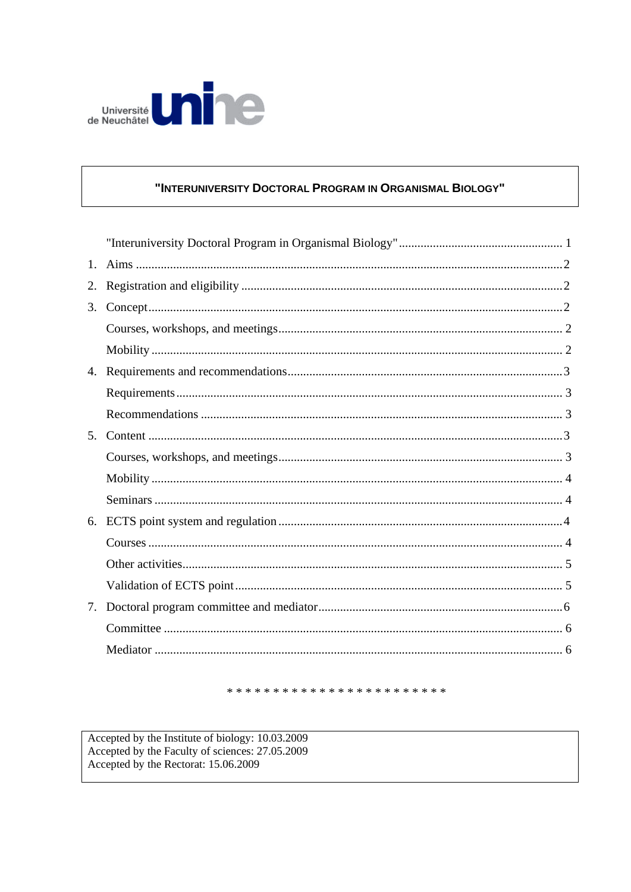

### "INTERUNIVERSITY DOCTORAL PROGRAM IN ORGANISMAL BIOLOGY"

| 1. |  |
|----|--|
| 2. |  |
| 3. |  |
|    |  |
|    |  |
|    |  |
|    |  |
|    |  |
| 5. |  |
|    |  |
|    |  |
|    |  |
| 6. |  |
|    |  |
|    |  |
|    |  |
| 7. |  |
|    |  |
|    |  |

Accepted by the Institute of biology: 10.03.2009<br>Accepted by the Faculty of sciences: 27.05.2009<br>Accepted by the Rectorat: 15.06.2009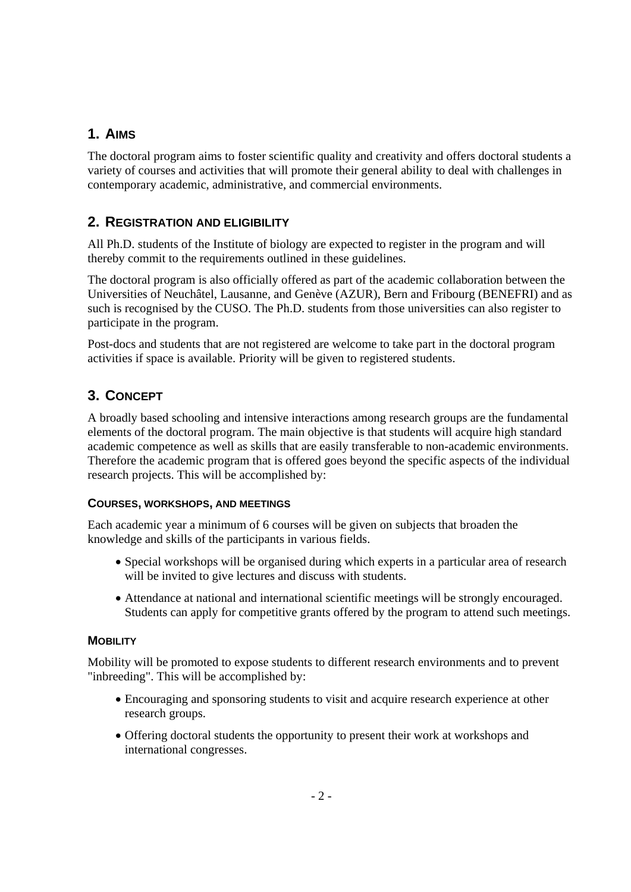# **1. AIMS**

The doctoral program aims to foster scientific quality and creativity and offers doctoral students a variety of courses and activities that will promote their general ability to deal with challenges in contemporary academic, administrative, and commercial environments.

# **2. REGISTRATION AND ELIGIBILITY**

All Ph.D. students of the Institute of biology are expected to register in the program and will thereby commit to the requirements outlined in these guidelines.

The doctoral program is also officially offered as part of the academic collaboration between the Universities of Neuchâtel, Lausanne, and Genève (AZUR), Bern and Fribourg (BENEFRI) and as such is recognised by the CUSO. The Ph.D. students from those universities can also register to participate in the program.

Post-docs and students that are not registered are welcome to take part in the doctoral program activities if space is available. Priority will be given to registered students.

# **3. CONCEPT**

A broadly based schooling and intensive interactions among research groups are the fundamental elements of the doctoral program. The main objective is that students will acquire high standard academic competence as well as skills that are easily transferable to non-academic environments. Therefore the academic program that is offered goes beyond the specific aspects of the individual research projects. This will be accomplished by:

#### **COURSES, WORKSHOPS, AND MEETINGS**

Each academic year a minimum of 6 courses will be given on subjects that broaden the knowledge and skills of the participants in various fields.

- Special workshops will be organised during which experts in a particular area of research will be invited to give lectures and discuss with students.
- Attendance at national and international scientific meetings will be strongly encouraged. Students can apply for competitive grants offered by the program to attend such meetings.

### **MOBILITY**

Mobility will be promoted to expose students to different research environments and to prevent "inbreeding". This will be accomplished by:

- Encouraging and sponsoring students to visit and acquire research experience at other research groups.
- Offering doctoral students the opportunity to present their work at workshops and international congresses.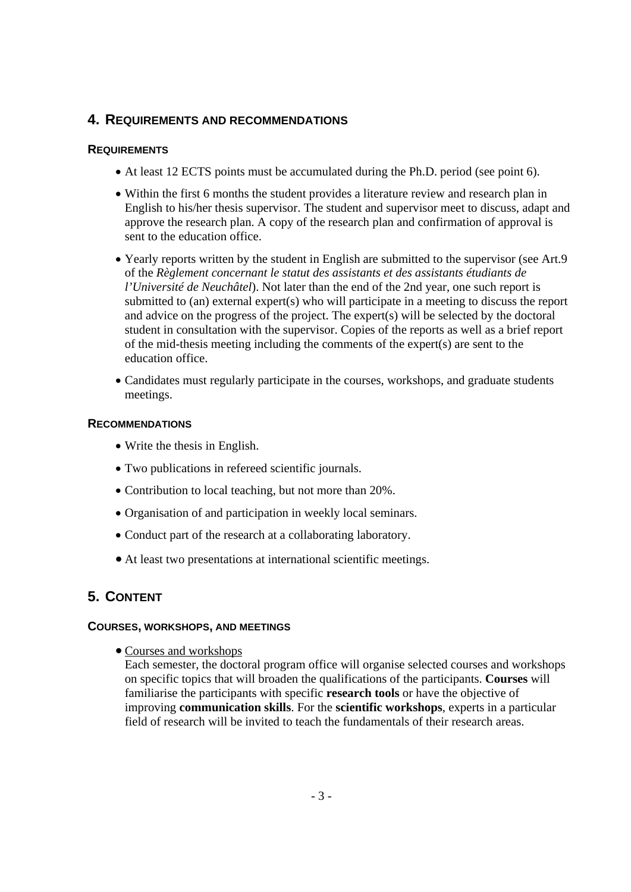### **4. REQUIREMENTS AND RECOMMENDATIONS**

#### **REQUIREMENTS**

- At least 12 ECTS points must be accumulated during the Ph.D. period (see point 6).
- Within the first 6 months the student provides a literature review and research plan in English to his/her thesis supervisor. The student and supervisor meet to discuss, adapt and approve the research plan. A copy of the research plan and confirmation of approval is sent to the education office.
- Yearly reports written by the student in English are submitted to the supervisor (see Art.9 of the *Règlement concernant le statut des assistants et des assistants étudiants de l'Université de Neuchâtel*). Not later than the end of the 2nd year, one such report is submitted to (an) external expert(s) who will participate in a meeting to discuss the report and advice on the progress of the project. The expert(s) will be selected by the doctoral student in consultation with the supervisor. Copies of the reports as well as a brief report of the mid-thesis meeting including the comments of the expert(s) are sent to the education office.
- Candidates must regularly participate in the courses, workshops, and graduate students meetings.

#### **RECOMMENDATIONS**

- Write the thesis in English.
- Two publications in refereed scientific journals.
- Contribution to local teaching, but not more than 20%.
- Organisation of and participation in weekly local seminars.
- Conduct part of the research at a collaborating laboratory.
- At least two presentations at international scientific meetings.

### **5. CONTENT**

#### **COURSES, WORKSHOPS, AND MEETINGS**

Courses and workshops

Each semester, the doctoral program office will organise selected courses and workshops on specific topics that will broaden the qualifications of the participants. **Courses** will familiarise the participants with specific **research tools** or have the objective of improving **communication skills**. For the **scientific workshops**, experts in a particular field of research will be invited to teach the fundamentals of their research areas.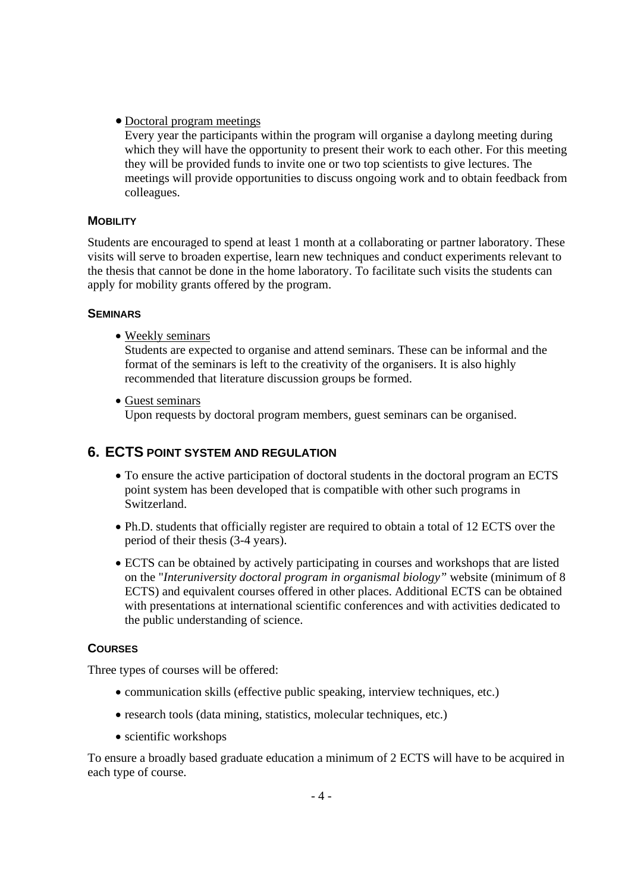#### Doctoral program meetings

Every year the participants within the program will organise a daylong meeting during which they will have the opportunity to present their work to each other. For this meeting they will be provided funds to invite one or two top scientists to give lectures. The meetings will provide opportunities to discuss ongoing work and to obtain feedback from colleagues.

#### **MOBILITY**

Students are encouraged to spend at least 1 month at a collaborating or partner laboratory. These visits will serve to broaden expertise, learn new techniques and conduct experiments relevant to the thesis that cannot be done in the home laboratory. To facilitate such visits the students can apply for mobility grants offered by the program.

#### **SEMINARS**

Weekly seminars

Students are expected to organise and attend seminars. These can be informal and the format of the seminars is left to the creativity of the organisers. It is also highly recommended that literature discussion groups be formed.

Guest seminars

Upon requests by doctoral program members, guest seminars can be organised.

### **6. ECTS POINT SYSTEM AND REGULATION**

- To ensure the active participation of doctoral students in the doctoral program an ECTS point system has been developed that is compatible with other such programs in Switzerland.
- Ph.D. students that officially register are required to obtain a total of 12 ECTS over the period of their thesis (3-4 years).
- ECTS can be obtained by actively participating in courses and workshops that are listed on the "*Interuniversity doctoral program in organismal biology"* website (minimum of 8 ECTS) and equivalent courses offered in other places. Additional ECTS can be obtained with presentations at international scientific conferences and with activities dedicated to the public understanding of science.

#### **COURSES**

Three types of courses will be offered:

- communication skills (effective public speaking, interview techniques, etc.)
- research tools (data mining, statistics, molecular techniques, etc.)
- scientific workshops

To ensure a broadly based graduate education a minimum of 2 ECTS will have to be acquired in each type of course.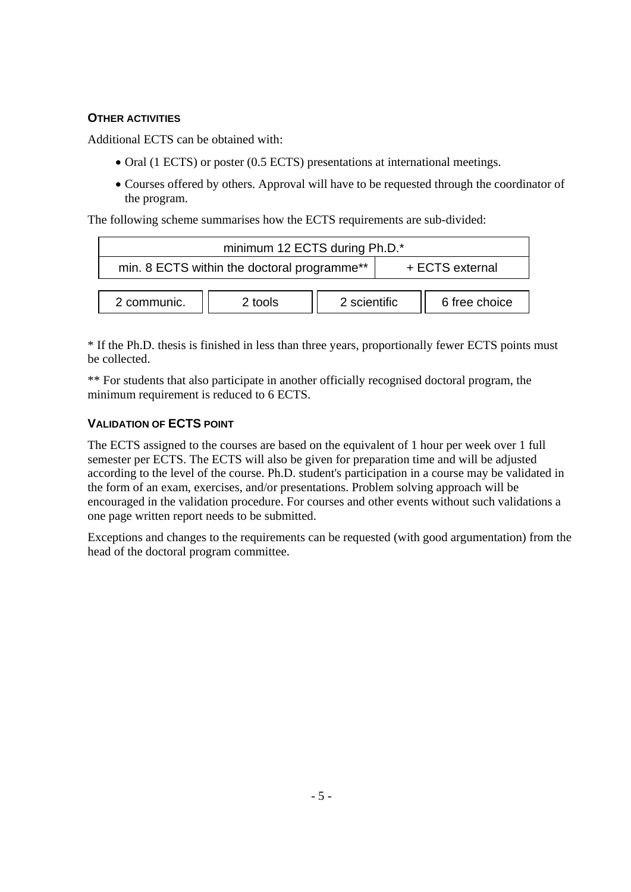#### **OTHER ACTIVITIES**

Additional ECTS can be obtained with:

- Oral (1 ECTS) or poster (0.5 ECTS) presentations at international meetings.
- Courses offered by others. Approval will have to be requested through the coordinator of the program.

The following scheme summarises how the ECTS requirements are sub-divided:

| minimum 12 ECTS during Ph.D.* |                                             |                 |  |               |  |  |  |
|-------------------------------|---------------------------------------------|-----------------|--|---------------|--|--|--|
|                               | min. 8 ECTS within the doctoral programme** | + ECTS external |  |               |  |  |  |
|                               |                                             |                 |  |               |  |  |  |
| 2 communic.                   | 2 tools                                     | 2 scientific    |  | 6 free choice |  |  |  |

\* If the Ph.D. thesis is finished in less than three years, proportionally fewer ECTS points must be collected.

\*\* For students that also participate in another officially recognised doctoral program, the minimum requirement is reduced to 6 ECTS.

#### **VALIDATION OF ECTS POINT**

The ECTS assigned to the courses are based on the equivalent of 1 hour per week over 1 full semester per ECTS. The ECTS will also be given for preparation time and will be adjusted according to the level of the course. Ph.D. student's participation in a course may be validated in the form of an exam, exercises, and/or presentations. Problem solving approach will be encouraged in the validation procedure. For courses and other events without such validations a one page written report needs to be submitted.

Exceptions and changes to the requirements can be requested (with good argumentation) from the head of the doctoral program committee.